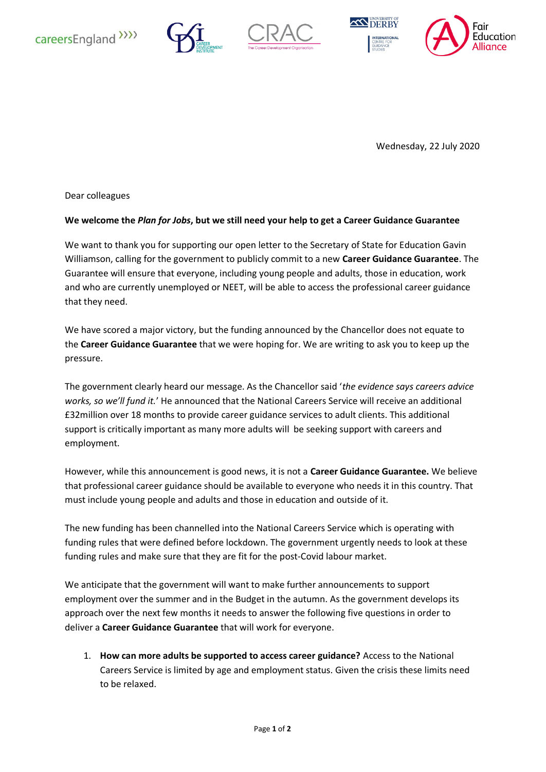







Wednesday, 22 July 2020

Dear colleagues

## **We welcome the** *Plan for Jobs***, but we still need your help to get a Career Guidance Guarantee**

We want to thank you for supporting our open letter to the Secretary of State for Education Gavin Williamson, calling for the government to publicly commit to a new **Career Guidance Guarantee**. The Guarantee will ensure that everyone, including young people and adults, those in education, work and who are currently unemployed or NEET, will be able to access the professional career guidance that they need.

We have scored a major victory, but the funding announced by the Chancellor does not equate to the **Career Guidance Guarantee** that we were hoping for. We are writing to ask you to keep up the pressure.

The government clearly heard our message. As the Chancellor said '*the evidence says careers advice works, so we'll fund it.*' He announced that the National Careers Service will receive an additional £32million over 18 months to provide career guidance services to adult clients. This additional support is critically important as many more adults will be seeking support with careers and employment.

However, while this announcement is good news, it is not a **Career Guidance Guarantee.** We believe that professional career guidance should be available to everyone who needs it in this country. That must include young people and adults and those in education and outside of it.

The new funding has been channelled into the National Careers Service which is operating with funding rules that were defined before lockdown. The government urgently needs to look at these funding rules and make sure that they are fit for the post-Covid labour market.

We anticipate that the government will want to make further announcements to support employment over the summer and in the Budget in the autumn. As the government develops its approach over the next few months it needs to answer the following five questions in order to deliver a **Career Guidance Guarantee** that will work for everyone.

1. **How can more adults be supported to access career guidance?** Access to the National Careers Service is limited by age and employment status. Given the crisis these limits need to be relaxed.